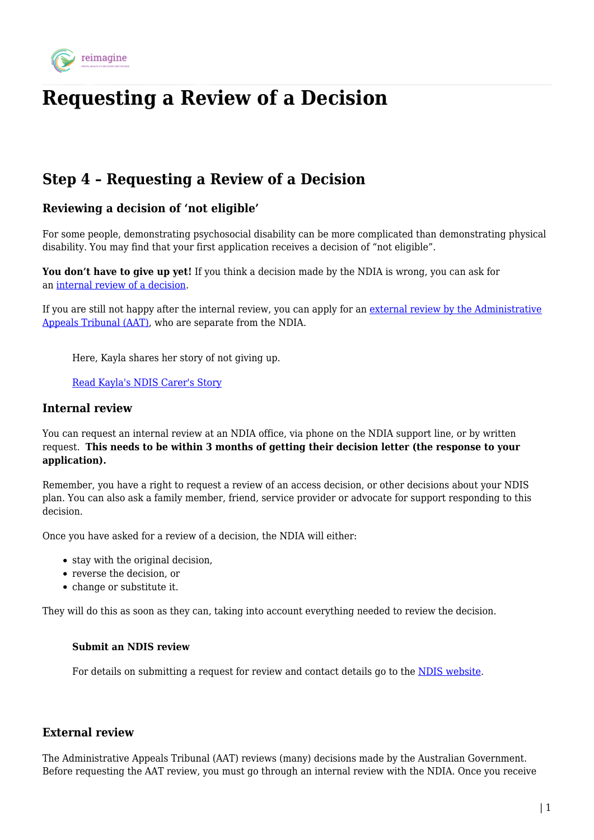

# **Requesting a Review of a Decision**

# **Step 4 – Requesting a Review of a Decision**

## **Reviewing a decision of 'not eligible'**

For some people, demonstrating psychosocial disability can be more complicated than demonstrating physical disability. You may find that your first application receives a decision of "not eligible".

You don't have to give up yet! If you think a decision made by the NDIA is wrong, you can ask for an [internal review of a decision](https://www.ndis.gov.au/participants/reasonable-and-necessary-supports/decision-review.html).

If you are still not happy after the internal review, you can apply for an [external review by the Administrative](http://www.aat.gov.au/applying-for-a-review/national-disability-insurance-scheme-applicants) [Appeals Tribunal \(AAT\)](http://www.aat.gov.au/applying-for-a-review/national-disability-insurance-scheme-applicants), who are separate from the NDIA.

Here, Kayla shares her story of not giving up.

[Read Kayla's NDIS Carer's Story](https://reimagine.today/wp-content/uploads/2020/05/Kaylas-Story-Carer-NDIS.pdf)

#### **Internal review**

You can request an internal review at an NDIA office, via phone on the NDIA support line, or by written request. **This needs to be within 3 months of getting their decision letter (the response to your application).**

Remember, you have a right to request a review of an access decision, or other decisions about your NDIS plan. You can also ask a family member, friend, service provider or advocate for support responding to this decision.

Once you have asked for a review of a decision, the NDIA will either:

- stay with the original decision,
- reverse the decision, or
- change or substitute it.

They will do this as soon as they can, taking into account everything needed to review the decision.

#### **Submit an NDIS review**

For details on submitting a request for review and contact details go to the [NDIS website](https://www.ndis.gov.au/participants/reasonable-and-necessary-supports/decision-review.html).

### **External review**

The Administrative Appeals Tribunal (AAT) reviews (many) decisions made by the Australian Government. Before requesting the AAT review, you must go through an internal review with the NDIA. Once you receive